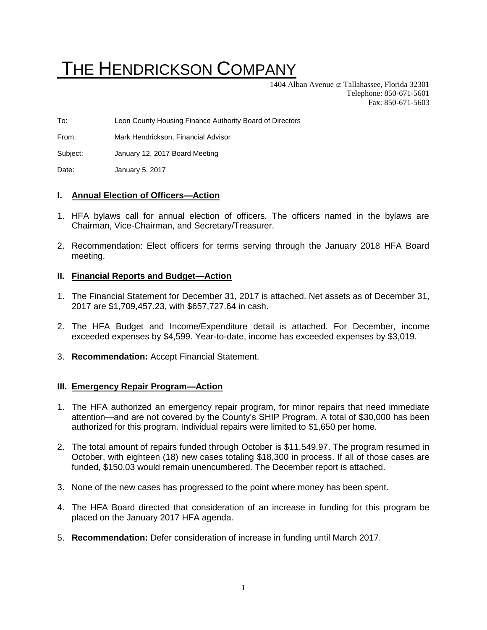# THE HENDRICKSON COMPANY

1404 Alban Avenue  $\sigma$  Tallahassee, Florida 32301 Telephone: 850-671-5601 Fax: 850-671-5603

To: Leon County Housing Finance Authority Board of Directors

From: Mark Hendrickson, Financial Advisor

Subject: January 12, 2017 Board Meeting

Date: January 5, 2017

## **I. Annual Election of Officers—Action**

- 1. HFA bylaws call for annual election of officers. The officers named in the bylaws are Chairman, Vice-Chairman, and Secretary/Treasurer.
- 2. Recommendation: Elect officers for terms serving through the January 2018 HFA Board meeting.

### **II. Financial Reports and Budget—Action**

- 1. The Financial Statement for December 31, 2017 is attached. Net assets as of December 31, 2017 are \$1,709,457.23, with \$657,727.64 in cash.
- 2. The HFA Budget and Income/Expenditure detail is attached. For December, income exceeded expenses by \$4,599. Year-to-date, income has exceeded expenses by \$3,019.
- 3. **Recommendation:** Accept Financial Statement.

#### **III. Emergency Repair Program—Action**

- 1. The HFA authorized an emergency repair program, for minor repairs that need immediate attention—and are not covered by the County's SHIP Program. A total of \$30,000 has been authorized for this program. Individual repairs were limited to \$1,650 per home.
- 2. The total amount of repairs funded through October is \$11,549.97. The program resumed in October, with eighteen (18) new cases totaling \$18,300 in process. If all of those cases are funded, \$150.03 would remain unencumbered. The December report is attached.
- 3. None of the new cases has progressed to the point where money has been spent.
- 4. The HFA Board directed that consideration of an increase in funding for this program be placed on the January 2017 HFA agenda.
- 5. **Recommendation:** Defer consideration of increase in funding until March 2017.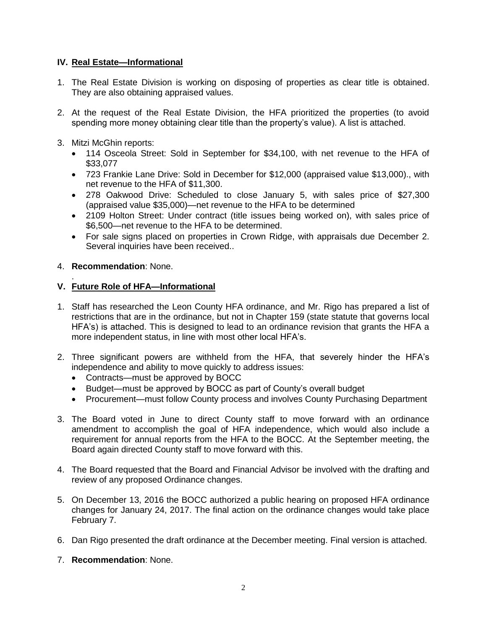## **IV. Real Estate—Informational**

- 1. The Real Estate Division is working on disposing of properties as clear title is obtained. They are also obtaining appraised values.
- 2. At the request of the Real Estate Division, the HFA prioritized the properties (to avoid spending more money obtaining clear title than the property's value). A list is attached.
- 3. Mitzi McGhin reports:
	- 114 Osceola Street: Sold in September for \$34,100, with net revenue to the HFA of \$33,077
	- 723 Frankie Lane Drive: Sold in December for \$12,000 (appraised value \$13,000)., with net revenue to the HFA of \$11,300.
	- 278 Oakwood Drive: Scheduled to close January 5, with sales price of \$27,300 (appraised value \$35,000)—net revenue to the HFA to be determined
	- 2109 Holton Street: Under contract (title issues being worked on), with sales price of \$6,500—net revenue to the HFA to be determined.
	- For sale signs placed on properties in Crown Ridge, with appraisals due December 2. Several inquiries have been received..

## 4. **Recommendation**: None.

#### . **V. Future Role of HFA—Informational**

- 1. Staff has researched the Leon County HFA ordinance, and Mr. Rigo has prepared a list of restrictions that are in the ordinance, but not in Chapter 159 (state statute that governs local HFA's) is attached. This is designed to lead to an ordinance revision that grants the HFA a more independent status, in line with most other local HFA's.
- 2. Three significant powers are withheld from the HFA, that severely hinder the HFA's independence and ability to move quickly to address issues:
	- Contracts—must be approved by BOCC
	- Budget—must be approved by BOCC as part of County's overall budget
	- Procurement—must follow County process and involves County Purchasing Department
- 3. The Board voted in June to direct County staff to move forward with an ordinance amendment to accomplish the goal of HFA independence, which would also include a requirement for annual reports from the HFA to the BOCC. At the September meeting, the Board again directed County staff to move forward with this.
- 4. The Board requested that the Board and Financial Advisor be involved with the drafting and review of any proposed Ordinance changes.
- 5. On December 13, 2016 the BOCC authorized a public hearing on proposed HFA ordinance changes for January 24, 2017. The final action on the ordinance changes would take place February 7.
- 6. Dan Rigo presented the draft ordinance at the December meeting. Final version is attached.
- 7. **Recommendation**: None.